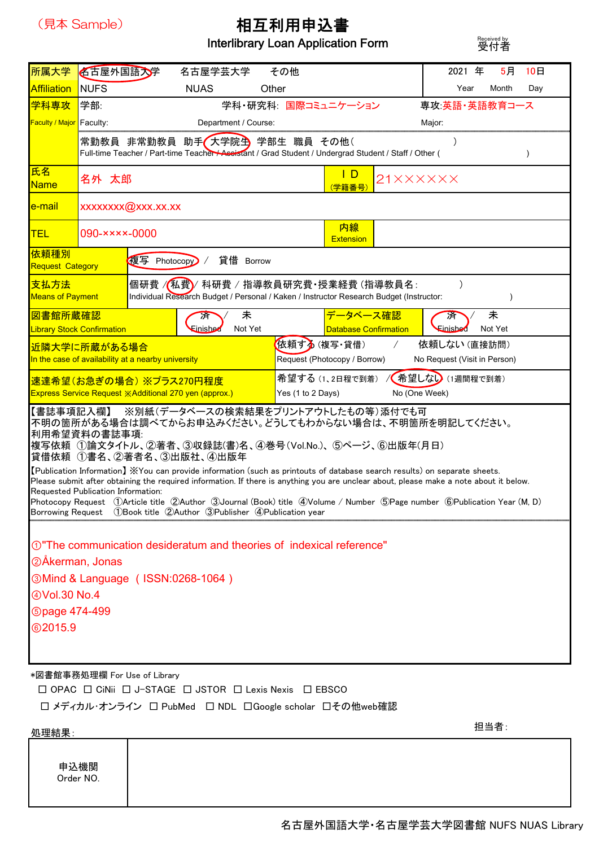

## 相互利用申込書

Interlibrary Loan Application Form

Received by<br>受付者

| 所属大学                                                               | 名古屋外国語大学                                                                                                                                                       |                              | 名古屋学芸大学                                                                                                                                                                                                                                                                                                                                                                                                                                                                                                                                                                       |         | その他                                                                                                       |                                      |  | 2021 年               | 5月            | 10 <sub>H</sub> |  |  |
|--------------------------------------------------------------------|----------------------------------------------------------------------------------------------------------------------------------------------------------------|------------------------------|-------------------------------------------------------------------------------------------------------------------------------------------------------------------------------------------------------------------------------------------------------------------------------------------------------------------------------------------------------------------------------------------------------------------------------------------------------------------------------------------------------------------------------------------------------------------------------|---------|-----------------------------------------------------------------------------------------------------------|--------------------------------------|--|----------------------|---------------|-----------------|--|--|
| <b>Affiliation</b>                                                 | <b>NUFS</b><br><b>NUAS</b><br>Other                                                                                                                            |                              |                                                                                                                                                                                                                                                                                                                                                                                                                                                                                                                                                                               |         |                                                                                                           |                                      |  | Year<br>Month<br>Day |               |                 |  |  |
| 学科専攻                                                               | 学部:                                                                                                                                                            |                              |                                                                                                                                                                                                                                                                                                                                                                                                                                                                                                                                                                               |         |                                                                                                           | 学科・研究科: 国際コミュニケーション<br>専攻:英語・英語教育コース |  |                      |               |                 |  |  |
| Faculty / Major                                                    | Faculty:<br>Department / Course:                                                                                                                               |                              |                                                                                                                                                                                                                                                                                                                                                                                                                                                                                                                                                                               |         |                                                                                                           |                                      |  | Major:               |               |                 |  |  |
|                                                                    | 常勤教員 非常勤教員 助手 <i>(</i> 大学院生 学部生 職員 その他(<br>Full-time Teacher / Part-time Teacher / Assistant / Grad Student / Undergrad Student / Staff / Other (<br>$\lambda$ |                              |                                                                                                                                                                                                                                                                                                                                                                                                                                                                                                                                                                               |         |                                                                                                           |                                      |  |                      |               |                 |  |  |
| 氏名<br><b>Name</b>                                                  | 名外 太郎                                                                                                                                                          |                              |                                                                                                                                                                                                                                                                                                                                                                                                                                                                                                                                                                               |         | <u>    D</u><br>21XXXXXX<br>学籍番号                                                                          |                                      |  |                      |               |                 |  |  |
| <u>e-mail</u>                                                      | xxxxxxx@xxx.xx.xx                                                                                                                                              |                              |                                                                                                                                                                                                                                                                                                                                                                                                                                                                                                                                                                               |         |                                                                                                           |                                      |  |                      |               |                 |  |  |
| <b>TEL</b>                                                         | 内線<br>$090$ - $\times$ $\times$ $\times$ -0000<br><b>Extension</b>                                                                                             |                              |                                                                                                                                                                                                                                                                                                                                                                                                                                                                                                                                                                               |         |                                                                                                           |                                      |  |                      |               |                 |  |  |
| 依頼種別<br>複写 Photocopy<br>貸借 Borrow<br><b>Request Category</b>       |                                                                                                                                                                |                              |                                                                                                                                                                                                                                                                                                                                                                                                                                                                                                                                                                               |         |                                                                                                           |                                      |  |                      |               |                 |  |  |
| 支払方法<br><b>Means of Payment</b>                                    | 個研費 /(私費)/ 科研費 / 指導教員研究費·授業経費 (指導教員名:<br>Individual Research Budget / Personal / Kaken / Instructor Research Budget (Instructor:                               |                              |                                                                                                                                                                                                                                                                                                                                                                                                                                                                                                                                                                               |         |                                                                                                           |                                      |  | $\mathcal{E}$        | $\mathcal{E}$ |                 |  |  |
| 未<br>図書館所蔵確認<br>浒                                                  |                                                                                                                                                                |                              |                                                                                                                                                                                                                                                                                                                                                                                                                                                                                                                                                                               |         |                                                                                                           | <del>データベース確</del> 認                 |  | 済                    | 未             |                 |  |  |
| <b>Library Stock Confirmation</b>                                  |                                                                                                                                                                |                              | <b>Einished</b>                                                                                                                                                                                                                                                                                                                                                                                                                                                                                                                                                               | Not Yet |                                                                                                           | <b>Database Confirmation</b>         |  | Einished             | Not Yet       |                 |  |  |
| 近隣大学に所蔵がある場合<br>In the case of availability at a nearby university |                                                                                                                                                                |                              |                                                                                                                                                                                                                                                                                                                                                                                                                                                                                                                                                                               |         | 依頼する(複写・貸借)<br>依頼しない (直接訪問)<br>$\sqrt{2}$<br>Request (Photocopy / Borrow)<br>No Request (Visit in Person) |                                      |  |                      |               |                 |  |  |
| 速達希望(お急ぎの場合) ※プラス270円程度                                            |                                                                                                                                                                |                              |                                                                                                                                                                                                                                                                                                                                                                                                                                                                                                                                                                               |         |                                                                                                           | / 希望しない (1週間程で到着)<br>希望する (1、2日程で到着) |  |                      |               |                 |  |  |
|                                                                    | Express Service Request ※Additional 270 yen (approx.)<br>Yes (1 to 2 Days)<br>No (One Week)                                                                    |                              |                                                                                                                                                                                                                                                                                                                                                                                                                                                                                                                                                                               |         |                                                                                                           |                                      |  |                      |               |                 |  |  |
| 【書誌事項記入欄】<br>利用希望資料の書誌事項:<br>Requested Publication Information:    |                                                                                                                                                                |                              | ※別紙(データベースの検索結果をプリントアウトしたもの等)添付でも可<br>不明の箇所がある場合は調べてからお申込みください。どうしてもわからない場合は、不明箇所を明記してください。<br>複写依頼(1論文タイトル、②著者、③収録誌(書)名、④巻号(Vol.No.)、⑤ページ、⑥出版年(月日)<br>貸借依頼 ①書名、②著者名、③出版社、④出版年<br>【Publication Information】※You can provide information (such as printouts of database search results) on separate sheets.<br>Please submit after obtaining the required information. If there is anything you are unclear about, please make a note about it below.<br>Photocopy Request ①Article title ②Author ③Journal (Book) title ④Volume / Number ⑤Page number ⑥Publication Year (M, D) |         |                                                                                                           |                                      |  |                      |               |                 |  |  |
|                                                                    |                                                                                                                                                                |                              | Borrowing Request (1)Book title(2)Author(3)Publisher(4)Publication year                                                                                                                                                                                                                                                                                                                                                                                                                                                                                                       |         |                                                                                                           |                                      |  |                      |               |                 |  |  |
|                                                                    |                                                                                                                                                                |                              | ①"The communication desideratum and theories of indexical reference"                                                                                                                                                                                                                                                                                                                                                                                                                                                                                                          |         |                                                                                                           |                                      |  |                      |               |                 |  |  |
| 2Åkerman, Jonas                                                    |                                                                                                                                                                |                              |                                                                                                                                                                                                                                                                                                                                                                                                                                                                                                                                                                               |         |                                                                                                           |                                      |  |                      |               |                 |  |  |
| <b>@Mind &amp; Language (ISSN:0268-1064)</b>                       |                                                                                                                                                                |                              |                                                                                                                                                                                                                                                                                                                                                                                                                                                                                                                                                                               |         |                                                                                                           |                                      |  |                      |               |                 |  |  |
| 4 Vol.30 No.4                                                      |                                                                                                                                                                |                              |                                                                                                                                                                                                                                                                                                                                                                                                                                                                                                                                                                               |         |                                                                                                           |                                      |  |                      |               |                 |  |  |
|                                                                    | <b>Spage 474-499</b>                                                                                                                                           |                              |                                                                                                                                                                                                                                                                                                                                                                                                                                                                                                                                                                               |         |                                                                                                           |                                      |  |                      |               |                 |  |  |
| <b>@2015.9</b>                                                     |                                                                                                                                                                |                              |                                                                                                                                                                                                                                                                                                                                                                                                                                                                                                                                                                               |         |                                                                                                           |                                      |  |                      |               |                 |  |  |
|                                                                    |                                                                                                                                                                |                              |                                                                                                                                                                                                                                                                                                                                                                                                                                                                                                                                                                               |         |                                                                                                           |                                      |  |                      |               |                 |  |  |
|                                                                    |                                                                                                                                                                | *図書館事務処理欄 For Use of Library | $\Box$ OPAC $\Box$ CiNii $\Box$ J-STAGE $\Box$ JSTOR $\Box$ Lexis Nexis $\Box$ EBSCO                                                                                                                                                                                                                                                                                                                                                                                                                                                                                          |         |                                                                                                           |                                      |  |                      |               |                 |  |  |

□ メディカル・オンライン □ PubMed □ NDL □ Google scholar □その他web確認

処理結果: 担当者: